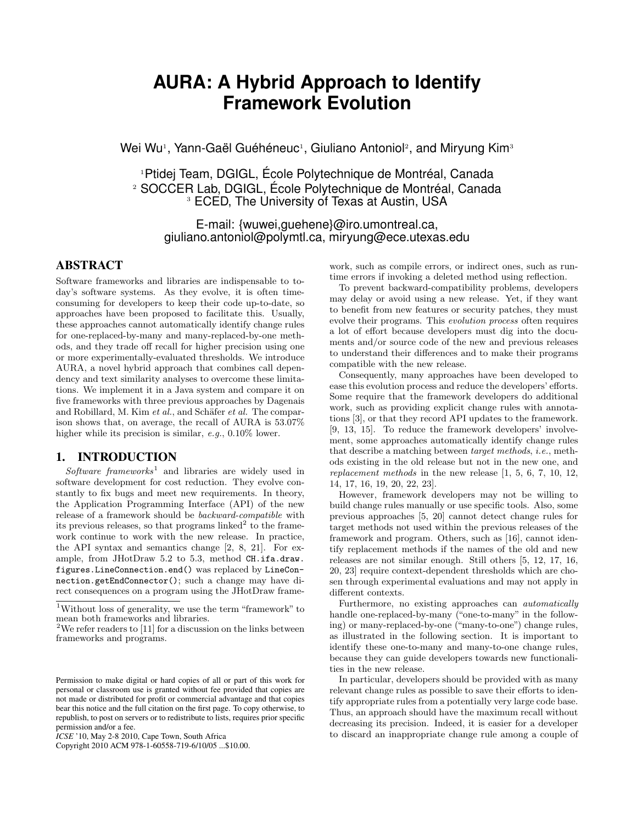# **AURA: A Hybrid Approach to Identify Framework Evolution**

Wei Wu<sup>1</sup>, Yann-Gaël Guéhéneuc<sup>1</sup>, Giuliano Antoniol<sup>2</sup>, and Miryung Kim<sup>3</sup>

<sup>1</sup>Ptidej Team, DGIGL, École Polytechnique de Montréal, Canada <sup>2</sup> SOCCER Lab, DGIGL, École Polytechnique de Montréal, Canada <sup>3</sup> ECED, The University of Texas at Austin, USA

E-mail: {wuwei,guehene}@iro.umontreal.ca, giuliano.antoniol@polymtl.ca, miryung@ece.utexas.edu

# ABSTRACT

Software frameworks and libraries are indispensable to today's software systems. As they evolve, it is often timeconsuming for developers to keep their code up-to-date, so approaches have been proposed to facilitate this. Usually, these approaches cannot automatically identify change rules for one-replaced-by-many and many-replaced-by-one methods, and they trade off recall for higher precision using one or more experimentally-evaluated thresholds. We introduce AURA, a novel hybrid approach that combines call dependency and text similarity analyses to overcome these limitations. We implement it in a Java system and compare it on five frameworks with three previous approaches by Dagenais and Robillard, M. Kim  $et$  al., and Schäfer  $et$  al. The comparison shows that, on average, the recall of AURA is 53.07% higher while its precision is similar, e.g.,  $0.10\%$  lower.

# 1. INTRODUCTION

Software frameworks<sup>1</sup> and libraries are widely used in software development for cost reduction. They evolve constantly to fix bugs and meet new requirements. In theory, the Application Programming Interface (API) of the new release of a framework should be backward-compatible with its previous releases, so that programs linked<sup>2</sup> to the framework continue to work with the new release. In practice, the API syntax and semantics change [2, 8, 21]. For example, from JHotDraw 5.2 to 5.3, method CH.ifa.draw. figures.LineConnection.end() was replaced by LineConnection.getEndConnector(); such a change may have direct consequences on a program using the JHotDraw frame-

work, such as compile errors, or indirect ones, such as runtime errors if invoking a deleted method using reflection.

To prevent backward-compatibility problems, developers may delay or avoid using a new release. Yet, if they want to benefit from new features or security patches, they must evolve their programs. This evolution process often requires a lot of effort because developers must dig into the documents and/or source code of the new and previous releases to understand their differences and to make their programs compatible with the new release.

Consequently, many approaches have been developed to ease this evolution process and reduce the developers' efforts. Some require that the framework developers do additional work, such as providing explicit change rules with annotations [3], or that they record API updates to the framework. [9, 13, 15]. To reduce the framework developers' involvement, some approaches automatically identify change rules that describe a matching between target methods, i.e., methods existing in the old release but not in the new one, and replacement methods in the new release [1, 5, 6, 7, 10, 12, 14, 17, 16, 19, 20, 22, 23].

However, framework developers may not be willing to build change rules manually or use specific tools. Also, some previous approaches [5, 20] cannot detect change rules for target methods not used within the previous releases of the framework and program. Others, such as [16], cannot identify replacement methods if the names of the old and new releases are not similar enough. Still others [5, 12, 17, 16, 20, 23] require context-dependent thresholds which are chosen through experimental evaluations and may not apply in different contexts.

Furthermore, no existing approaches can automatically handle one-replaced-by-many ("one-to-many" in the following) or many-replaced-by-one ("many-to-one") change rules, as illustrated in the following section. It is important to identify these one-to-many and many-to-one change rules, because they can guide developers towards new functionalities in the new release.

In particular, developers should be provided with as many relevant change rules as possible to save their efforts to identify appropriate rules from a potentially very large code base. Thus, an approach should have the maximum recall without decreasing its precision. Indeed, it is easier for a developer to discard an inappropriate change rule among a couple of

<sup>1</sup>Without loss of generality, we use the term "framework" to mean both frameworks and libraries.

<sup>&</sup>lt;sup>2</sup>We refer readers to [11] for a discussion on the links between frameworks and programs.

Permission to make digital or hard copies of all or part of this work for personal or classroom use is granted without fee provided that copies are not made or distributed for profit or commercial advantage and that copies bear this notice and the full citation on the first page. To copy otherwise, to republish, to post on servers or to redistribute to lists, requires prior specific permission and/or a fee.

*ICSE* '10, May 2-8 2010, Cape Town, South Africa

Copyright 2010 ACM 978-1-60558-719-6/10/05 ...\$10.00.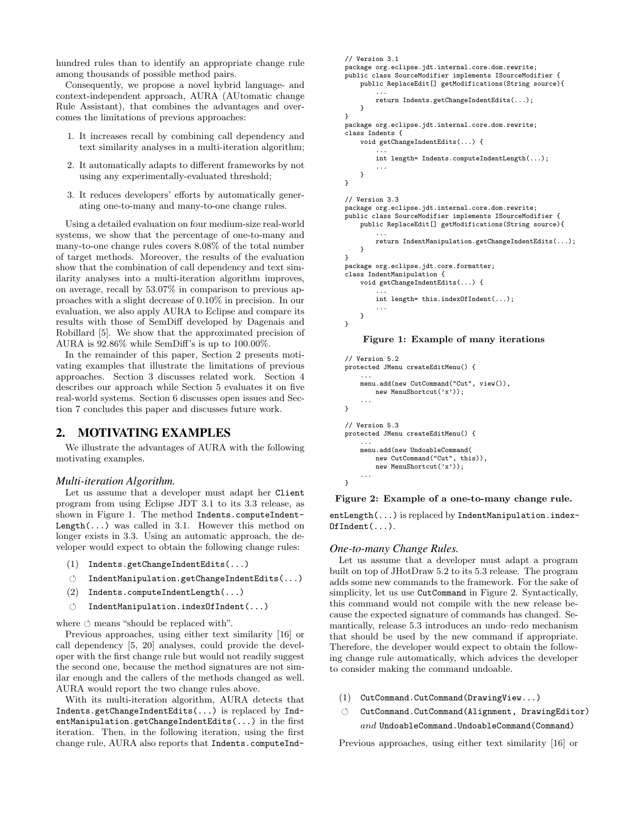hundred rules than to identify an appropriate change rule among thousands of possible method pairs.

Consequently, we propose a novel hybrid language- and context-independent approach, AURA (AUtomatic change Rule Assistant), that combines the advantages and overcomes the limitations of previous approaches:

- 1. It increases recall by combining call dependency and text similarity analyses in a multi-iteration algorithm;
- 2. It automatically adapts to different frameworks by not using any experimentally-evaluated threshold;
- 3. It reduces developers' efforts by automatically generating one-to-many and many-to-one change rules.

Using a detailed evaluation on four medium-size real-world systems, we show that the percentage of one-to-many and many-to-one change rules covers 8.08% of the total number of target methods. Moreover, the results of the evaluation show that the combination of call dependency and text similarity analyses into a multi-iteration algorithm improves, on average, recall by 53.07% in comparison to previous approaches with a slight decrease of 0.10% in precision. In our evaluation, we also apply AURA to Eclipse and compare its results with those of SemDiff developed by Dagenais and Robillard [5]. We show that the approximated precision of AURA is 92.86% while SemDiff's is up to 100.00%.

In the remainder of this paper, Section 2 presents motivating examples that illustrate the limitations of previous approaches. Section 3 discusses related work. Section 4 describes our approach while Section 5 evaluates it on five real-world systems. Section 6 discusses open issues and Section 7 concludes this paper and discusses future work.

# 2. MOTIVATING EXAMPLES

We illustrate the advantages of AURA with the following motivating examples.

#### *Multi-iteration Algorithm.*

Let us assume that a developer must adapt her Client program from using Eclipse JDT 3.1 to its 3.3 release, as shown in Figure 1. The method Indents.computeIndent- $Length(\ldots)$  was called in 3.1. However this method on longer exists in 3.3. Using an automatic approach, the developer would expect to obtain the following change rules:

- (1) Indents.getChangeIndentEdits(...)
- ↺ IndentManipulation.getChangeIndentEdits(...)
- (2) Indents.computeIndentLength(...)
- ↺ IndentManipulation.indexOfIndent(...)

where  $\circlearrowleft$  means "should be replaced with".

Previous approaches, using either text similarity [16] or call dependency [5, 20] analyses, could provide the developer with the first change rule but would not readily suggest the second one, because the method signatures are not similar enough and the callers of the methods changed as well. AURA would report the two change rules above.

With its multi-iteration algorithm, AURA detects that Indents.getChangeIndentEdits(...) is replaced by IndentManipulation.getChangeIndentEdits(...) in the first iteration. Then, in the following iteration, using the first change rule, AURA also reports that Indents.computeInd-

```
// Version 3.1
package org.eclipse.jdt.internal.core.dom.rewrite;
public class SourceModifier implements ISourceModifier {
    public ReplaceEdit[] getModifications(String source){
        ...
        return Indents.getChangeIndentEdits(...);
    }
}
package org.eclipse.jdt.internal.core.dom.rewrite;
class Indents {
    void getChangeIndentEdits(...) {
        ...
        int length= Indents.computeIndentLength(...);
        ...
    }
}
// Version 3.3
package org.eclipse.jdt.internal.core.dom.rewrite;
public class SourceModifier implements ISourceModifier {
    public ReplaceEdit[] getModifications(String source){
        ...
        return IndentManipulation.getChangeIndentEdits(...);
    }
}
package org.eclipse.jdt.core.formatter;
class IndentManipulation {
    void getChangeIndentEdits(...) {
        ...
        int length= this.indexOfIndent(...);
        ...
    }
}
```
#### Figure 1: Example of many iterations

```
// Version 5.2
protected JMenu createEditMenu() {
    ...
    menu.add(new CutCommand("Cut", view()),
        new MenuShortcut('x'));
    ...
}
// Version 5.3
protected JMenu createEditMenu() {
    ...
    menu.add(new UndoableCommand(
        new CutCommand("Cut", this)),
        new MenuShortcut('x'));
    ...
}
```
Figure 2: Example of a one-to-many change rule.

entLength(...) is replaced by IndentManipulation.index-OfIndent(...).

#### *One-to-many Change Rules.*

Let us assume that a developer must adapt a program built on top of JHotDraw 5.2 to its 5.3 release. The program adds some new commands to the framework. For the sake of simplicity, let us use CutCommand in Figure 2. Syntactically, this command would not compile with the new release because the expected signature of commands has changed. Semantically, release 5.3 introduces an undo–redo mechanism that should be used by the new command if appropriate. Therefore, the developer would expect to obtain the following change rule automatically, which advices the developer to consider making the command undoable.

- (1) CutCommand.CutCommand(DrawingView...)
- ↺ CutCommand.CutCommand(Alignment, DrawingEditor)  $and$  UndoableCommand.UndoableCommand(Command)

Previous approaches, using either text similarity [16] or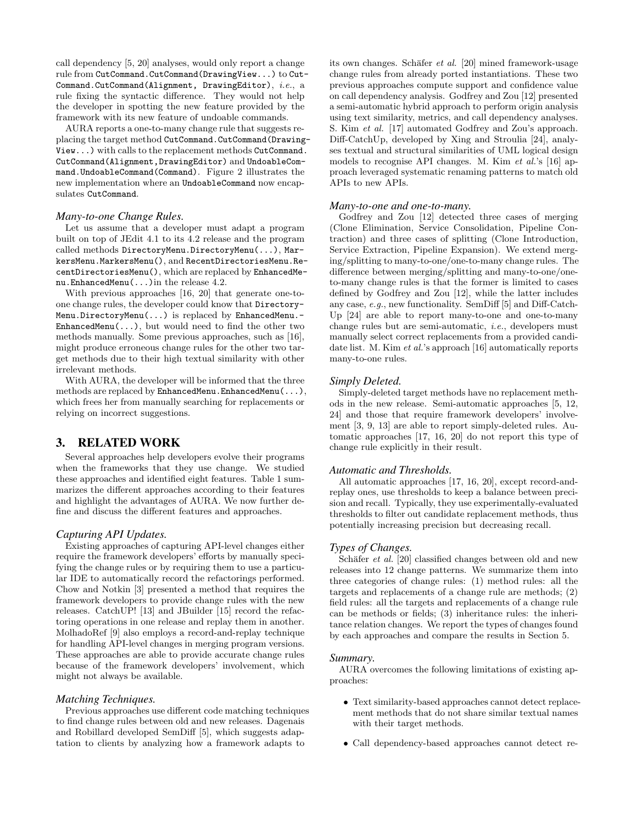call dependency [5, 20] analyses, would only report a change rule from CutCommand.CutCommand(DrawingView...) to Cut-Command.CutCommand(Alignment, DrawingEditor), i.e., a rule fixing the syntactic difference. They would not help the developer in spotting the new feature provided by the framework with its new feature of undoable commands.

AURA reports a one-to-many change rule that suggests replacing the target method CutCommand.CutCommand(Drawing-View...) with calls to the replacement methods CutCommand. CutCommand(Alignment,DrawingEditor) and UndoableCommand.UndoableCommand(Command). Figure 2 illustrates the new implementation where an UndoableCommand now encapsulates CutCommand.

#### *Many-to-one Change Rules.*

Let us assume that a developer must adapt a program built on top of JEdit 4.1 to its 4.2 release and the program called methods DirectoryMenu.DirectoryMenu(...), MarkersMenu.MarkersMenu(), and RecentDirectoriesMenu.RecentDirectoriesMenu(), which are replaced by EnhancedMenu.EnhancedMenu(...)in the release 4.2.

With previous approaches [16, 20] that generate one-toone change rules, the developer could know that Directory-Menu.DirectoryMenu(...) is replaced by EnhancedMenu.-  $EnhancedMenu(...), but would need to find the other two$ methods manually. Some previous approaches, such as [16], might produce erroneous change rules for the other two target methods due to their high textual similarity with other irrelevant methods.

With AURA, the developer will be informed that the three methods are replaced by EnhancedMenu.EnhancedMenu(...), which frees her from manually searching for replacements or relying on incorrect suggestions.

# 3. RELATED WORK

Several approaches help developers evolve their programs when the frameworks that they use change. We studied these approaches and identified eight features. Table 1 summarizes the different approaches according to their features and highlight the advantages of AURA. We now further define and discuss the different features and approaches.

## *Capturing API Updates.*

Existing approaches of capturing API-level changes either require the framework developers' efforts by manually specifying the change rules or by requiring them to use a particular IDE to automatically record the refactorings performed. Chow and Notkin [3] presented a method that requires the framework developers to provide change rules with the new releases. CatchUP! [13] and JBuilder [15] record the refactoring operations in one release and replay them in another. MolhadoRef [9] also employs a record-and-replay technique for handling API-level changes in merging program versions. These approaches are able to provide accurate change rules because of the framework developers' involvement, which might not always be available.

#### *Matching Techniques.*

Previous approaches use different code matching techniques to find change rules between old and new releases. Dagenais and Robillard developed SemDiff [5], which suggests adaptation to clients by analyzing how a framework adapts to

its own changes. Schäfer et al.  $[20]$  mined framework-usage change rules from already ported instantiations. These two previous approaches compute support and confidence value on call dependency analysis. Godfrey and Zou [12] presented a semi-automatic hybrid approach to perform origin analysis using text similarity, metrics, and call dependency analyses. S. Kim et al. [17] automated Godfrey and Zou's approach. Diff-CatchUp, developed by Xing and Stroulia [24], analyses textual and structural similarities of UML logical design models to recognise API changes. M. Kim et al.'s [16] approach leveraged systematic renaming patterns to match old APIs to new APIs.

## *Many-to-one and one-to-many.*

Godfrey and Zou [12] detected three cases of merging (Clone Elimination, Service Consolidation, Pipeline Contraction) and three cases of splitting (Clone Introduction, Service Extraction, Pipeline Expansion). We extend merging/splitting to many-to-one/one-to-many change rules. The difference between merging/splitting and many-to-one/oneto-many change rules is that the former is limited to cases defined by Godfrey and Zou [12], while the latter includes any case, e.g., new functionality. SemDiff [5] and Diff-Catch-Up [24] are able to report many-to-one and one-to-many change rules but are semi-automatic, i.e., developers must manually select correct replacements from a provided candidate list. M. Kim et al.'s approach [16] automatically reports many-to-one rules.

#### *Simply Deleted.*

Simply-deleted target methods have no replacement methods in the new release. Semi-automatic approaches [5, 12, 24] and those that require framework developers' involvement [3, 9, 13] are able to report simply-deleted rules. Automatic approaches [17, 16, 20] do not report this type of change rule explicitly in their result.

#### *Automatic and Thresholds.*

All automatic approaches [17, 16, 20], except record-andreplay ones, use thresholds to keep a balance between precision and recall. Typically, they use experimentally-evaluated thresholds to filter out candidate replacement methods, thus potentially increasing precision but decreasing recall.

#### *Types of Changes.*

Schäfer  $et$  al. [20] classified changes between old and new releases into 12 change patterns. We summarize them into three categories of change rules: (1) method rules: all the targets and replacements of a change rule are methods; (2) field rules: all the targets and replacements of a change rule can be methods or fields; (3) inheritance rules: the inheritance relation changes. We report the types of changes found by each approaches and compare the results in Section 5.

#### *Summary.*

AURA overcomes the following limitations of existing approaches:

- ∙ Text similarity-based approaches cannot detect replacement methods that do not share similar textual names with their target methods.
- ∙ Call dependency-based approaches cannot detect re-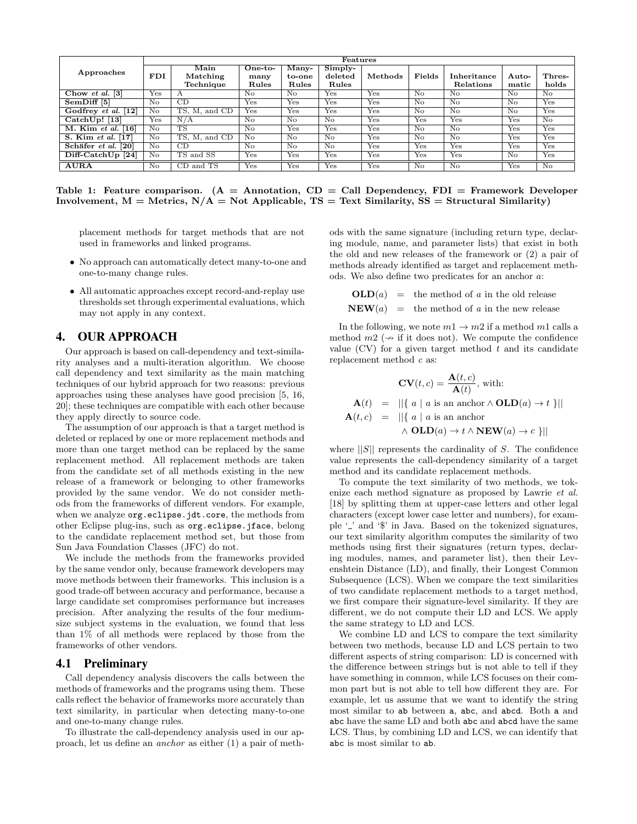|                                 | Features                |                               |                            |                          |                                 |                           |                         |                          |                           |                    |
|---------------------------------|-------------------------|-------------------------------|----------------------------|--------------------------|---------------------------------|---------------------------|-------------------------|--------------------------|---------------------------|--------------------|
| Approaches                      | <b>FDI</b>              | Main<br>Matching<br>Technique | $One-to-$<br>many<br>Rules | Many-<br>to-one<br>Rules | $Simplify-$<br>deleted<br>Rules | Methods                   | Fields                  | Inheritance<br>Relations | Auto-<br>matic            | Thres-<br>holds    |
| Chow et al. $[3]$               | Yes                     | А                             | No                         | N <sub>o</sub>           | Yes                             | Yes                       | No                      | No                       | No                        | No                 |
| SemDiff [5]                     | No                      | CD                            | <b>Yes</b>                 | Yes                      | Yes                             | Yes                       | No                      | No                       | No                        | Yes                |
| Godfrey et al. [12]             | No                      | гs.<br>and $CD$<br>М.         | Yes                        | Yes                      | Yes                             | Yes                       | $\overline{N_{\Omega}}$ | $\overline{N_{\Omega}}$  | $\overline{\text{No}}$    | Yes                |
| $\operatorname{CatchUp}$ ! [13] | Yes                     | N/A                           | No                         | No                       | N <sub>o</sub>                  | Yes                       | $_{\rm Yes}$            | Yes                      | Yes                       | No                 |
| $M.$ Kim et al. [16]            | No                      | TS                            | No                         | Yes                      | Yes                             | Yes                       | No                      | No                       | $\overline{\mathrm{Yes}}$ | Yes                |
| S. Kim et al. [17]              | No                      | TS.<br>M, and CD              | No                         | No                       | No                              | Yes                       | No                      | N <sub>o</sub>           | Yes                       | Yes                |
| Schäfer et al. [20]             | No                      | CD                            | No                         | No.                      | No.                             | $\overline{\mathrm{Yes}}$ | Yes                     | Yes                      | Yes                       | Yes                |
| $Diff-CatchUp [24]$             | $\overline{N_{\Omega}}$ | TS and SS                     | Yes                        | Yes                      | Yes                             | Yes                       | Yes                     | Yes                      | $\overline{\text{No}}$    | Yes                |
| <b>AURA</b>                     | No                      | CD and TS                     | Yes                        | Yes                      | Yes                             | $Y_{\rm es}$              | $\overline{\text{No}}$  | $\overline{\text{No}}$   | Yes                       | $\overline{N_{O}}$ |

Table 1: Feature comparison.  $(A =$  Annotation,  $CD =$  Call Dependency,  $FDI =$  Framework Developer Involvement,  $M =$  Metrics,  $N/A =$  Not Applicable, TS = Text Similarity, SS = Structural Similarity)

placement methods for target methods that are not used in frameworks and linked programs.

- ∙ No approach can automatically detect many-to-one and one-to-many change rules.
- ∙ All automatic approaches except record-and-replay use thresholds set through experimental evaluations, which may not apply in any context.

# 4. OUR APPROACH

Our approach is based on call-dependency and text-similarity analyses and a multi-iteration algorithm. We choose call dependency and text similarity as the main matching techniques of our hybrid approach for two reasons: previous approaches using these analyses have good precision [5, 16, 20]; these techniques are compatible with each other because they apply directly to source code.

The assumption of our approach is that a target method is deleted or replaced by one or more replacement methods and more than one target method can be replaced by the same replacement method. All replacement methods are taken from the candidate set of all methods existing in the new release of a framework or belonging to other frameworks provided by the same vendor. We do not consider methods from the frameworks of different vendors. For example, when we analyze org.eclipse.jdt.core, the methods from other Eclipse plug-ins, such as org.eclipse.jface, belong to the candidate replacement method set, but those from Sun Java Foundation Classes (JFC) do not.

We include the methods from the frameworks provided by the same vendor only, because framework developers may move methods between their frameworks. This inclusion is a good trade-off between accuracy and performance, because a large candidate set compromises performance but increases precision. After analyzing the results of the four mediumsize subject systems in the evaluation, we found that less than 1% of all methods were replaced by those from the frameworks of other vendors.

# 4.1 Preliminary

Call dependency analysis discovers the calls between the methods of frameworks and the programs using them. These calls reflect the behavior of frameworks more accurately than text similarity, in particular when detecting many-to-one and one-to-many change rules.

To illustrate the call-dependency analysis used in our approach, let us define an anchor as either (1) a pair of methods with the same signature (including return type, declaring module, name, and parameter lists) that exist in both the old and new releases of the framework or (2) a pair of methods already identified as target and replacement methods. We also define two predicates for an anchor  $a$ :

 $OLD(a) =$  the method of a in the old release  $NEW(a)$  = the method of a in the new release

In the following, we note  $m_1 \to m_2$  if a method  $m_1$  calls a method  $m_2 \rightarrow$  if it does not). We compute the confidence value  $(CV)$  for a given target method t and its candidate replacement method c as:

$$
\mathbf{CV}(t,c) = \frac{\mathbf{A}(t,c)}{\mathbf{A}(t)}, \text{ with:}
$$
  
\n
$$
\mathbf{A}(t) = ||\{ a \mid a \text{ is an anchor} \land \mathbf{OLD}(a) \to t \}||
$$
  
\n
$$
\mathbf{A}(t,c) = ||\{ a \mid a \text{ is an anchor} \land \mathbf{OLD}(a) \to t \land \mathbf{NEW}(a) \to c \}||
$$

where  $||S||$  represents the cardinality of S. The confidence value represents the call-dependency similarity of a target method and its candidate replacement methods.

To compute the text similarity of two methods, we tokenize each method signature as proposed by Lawrie et al. [18] by splitting them at upper-case letters and other legal characters (except lower case letter and numbers), for example  $\prime$  and  $\prime$   $\mathcal{F}$  in Java. Based on the tokenized signatures, our text similarity algorithm computes the similarity of two methods using first their signatures (return types, declaring modules, names, and parameter list), then their Levenshtein Distance (LD), and finally, their Longest Common Subsequence (LCS). When we compare the text similarities of two candidate replacement methods to a target method, we first compare their signature-level similarity. If they are different, we do not compute their LD and LCS. We apply the same strategy to LD and LCS.

We combine LD and LCS to compare the text similarity between two methods, because LD and LCS pertain to two different aspects of string comparison: LD is concerned with the difference between strings but is not able to tell if they have something in common, while LCS focuses on their common part but is not able to tell how different they are. For example, let us assume that we want to identify the string most similar to ab between a, abc, and abcd. Both a and abc have the same LD and both abc and abcd have the same LCS. Thus, by combining LD and LCS, we can identify that abc is most similar to ab.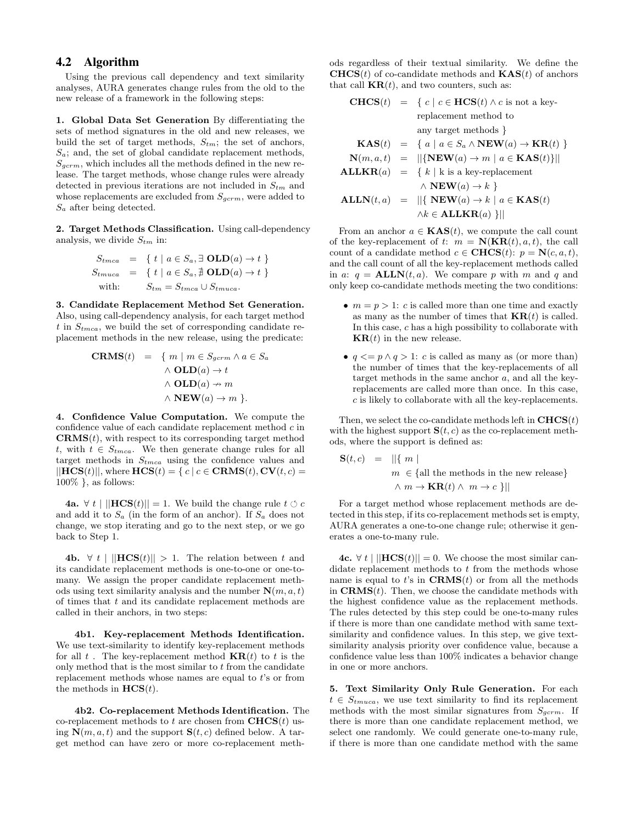# 4.2 Algorithm

Using the previous call dependency and text similarity analyses, AURA generates change rules from the old to the new release of a framework in the following steps:

1. Global Data Set Generation By differentiating the sets of method signatures in the old and new releases, we build the set of target methods,  $S_{tm}$ ; the set of anchors,  $S_a$ ; and, the set of global candidate replacement methods,  $S_{germ}$ , which includes all the methods defined in the new release. The target methods, whose change rules were already detected in previous iterations are not included in  $S_{tm}$  and whose replacements are excluded from  $S_{gcrm}$ , were added to  $S_a$  after being detected.

2. Target Methods Classification. Using call-dependency analysis, we divide  $S_{tm}$  in:

$$
S_{tmca} = \{ t \mid a \in S_a, \exists \text{OLD}(a) \to t \}
$$
  
\n
$$
S_{tmuca} = \{ t \mid a \in S_a, \exists \text{OLD}(a) \to t \}
$$
  
\nwith: 
$$
S_{tm} = S_{tmca} \cup S_{tmuca}.
$$

3. Candidate Replacement Method Set Generation. Also, using call-dependency analysis, for each target method t in  $S_{t{m}ca}$ , we build the set of corresponding candidate replacement methods in the new release, using the predicate:

$$
CRMS(t) = \{ m \mid m \in S_{germ} \land a \in S_a
$$
  
∧ 
$$
OLD(a) \to t
$$
  
∧ 
$$
OLD(a) \to m
$$
  
∧ 
$$
NEW(a) \to m
$$
}.

4. Confidence Value Computation. We compute the confidence value of each candidate replacement method  $c$  in  $\mathbf{CRMS}(t)$ , with respect to its corresponding target method t, with  $t \in S_{t{mca}}$ . We then generate change rules for all target methods in  $S_{t m c a}$  using the confidence values and  $\vert\vert \mathbf{HCS}(t) \vert\vert$ , where  $\mathbf{HCS}(t) = \{ c \vert c \in \mathbf{CRMS}(t), \mathbf{CV}(t, c) = \}$  $100\%$ , as follows:

**4a.** ∀ *t* | ||**HCS**(*t*)|| = 1. We build the change rule *t*  $\circ$  *c* and add it to  $S_a$  (in the form of an anchor). If  $S_a$  does not change, we stop iterating and go to the next step, or we go back to Step 1.

4b.  $\forall t \mid ||HCS(t)|| > 1$ . The relation between t and its candidate replacement methods is one-to-one or one-tomany. We assign the proper candidate replacement methods using text similarity analysis and the number  $\mathbf{N}(m, a, t)$ of times that  $t$  and its candidate replacement methods are called in their anchors, in two steps:

4b1. Key-replacement Methods Identification. We use text-similarity to identify key-replacement methods for all t. The key-replacement method  $\mathbf{KR}(t)$  to t is the only method that is the most similar to  $t$  from the candidate replacement methods whose names are equal to  $t$ 's or from the methods in  $\textbf{HCS}(t)$ .

4b2. Co-replacement Methods Identification. The co-replacement methods to t are chosen from  $CHCS(t)$  using  $\mathbf{N}(m, a, t)$  and the support  $\mathbf{S}(t, c)$  defined below. A target method can have zero or more co-replacement methods regardless of their textual similarity. We define the  $CHCS(t)$  of co-candidate methods and  $KAS(t)$  of anchors that call  $KR(t)$ , and two counters, such as:

**CHCS**
$$
(t) = \{ c \mid c \in \text{HCS}(t) \land c \text{ is not a key-}
$$
\n
$$
\text{replacement method to}
$$
\n
$$
\text{any target methods } \}
$$
\n
$$
\text{KAS}(t) = \{ a \mid a \in S_a \land \text{NEW}(a) \rightarrow \text{KR}(t) \}
$$
\n
$$
\text{N}(m, a, t) = ||\{\text{NEW}(a) \rightarrow m \mid a \in \text{KAS}(t)\}||
$$
\n
$$
\text{ALLKR}(a) = \{ k \mid k \text{ is a key-replacement}
$$
\n
$$
\land \text{NEW}(a) \rightarrow k \}
$$
\n
$$
\text{ALLN}(t, a) = ||\{\text{NEW}(a) \rightarrow k \mid a \in \text{KAS}(t) \land k \in \text{ALLKR}(a) \}||
$$

From an anchor  $a \in$  **KAS** $(t)$ , we compute the call count of the key-replacement of  $t: m = \mathbf{N}(\mathbf{KR}(t), a, t)$ , the call count of a candidate method  $c \in \text{CHCS}(t)$ :  $p = \text{N}(c, a, t)$ , and the call count of all the key-replacement methods called in a:  $q = \text{ALLN}(t, a)$ . We compare p with m and q and only keep co-candidate methods meeting the two conditions:

- $m = p > 1$ : c is called more than one time and exactly as many as the number of times that  $KR(t)$  is called. In this case,  $c$  has a high possibility to collaborate with  $KR(t)$  in the new release.
- $q \leq p \wedge q > 1$ : c is called as many as (or more than) the number of times that the key-replacements of all target methods in the same anchor  $a$ , and all the keyreplacements are called more than once. In this case,  $c$  is likely to collaborate with all the key-replacements.

Then, we select the co-candidate methods left in  $CHCS(t)$ with the highest support  $S(t, c)$  as the co-replacement methods, where the support is defined as:

$$
\mathbf{S}(t, c) = ||\{ m \mid
$$
  
\n
$$
m \in \{ \text{all the methods in the new release} \}
$$
  
\n
$$
\wedge m \to \mathbf{KR}(t) \wedge m \to c \}||
$$

For a target method whose replacement methods are detected in this step, if its co-replacement methods set is empty, AURA generates a one-to-one change rule; otherwise it generates a one-to-many rule.

4c. ∀  $t$  | ||HCS( $t$ )|| = 0. We choose the most similar candidate replacement methods to  $t$  from the methods whose name is equal to  $t$ 's in  $\mathbf{CRMS}(t)$  or from all the methods in  $\mathbf{CRMS}(t)$ . Then, we choose the candidate methods with the highest confidence value as the replacement methods. The rules detected by this step could be one-to-many rules if there is more than one candidate method with same textsimilarity and confidence values. In this step, we give textsimilarity analysis priority over confidence value, because a confidence value less than 100% indicates a behavior change in one or more anchors.

5. Text Similarity Only Rule Generation. For each  $t \in S_{trnuca}$ , we use text similarity to find its replacement methods with the most similar signatures from  $S_{\textit{acrm}}$ . If there is more than one candidate replacement method, we select one randomly. We could generate one-to-many rule, if there is more than one candidate method with the same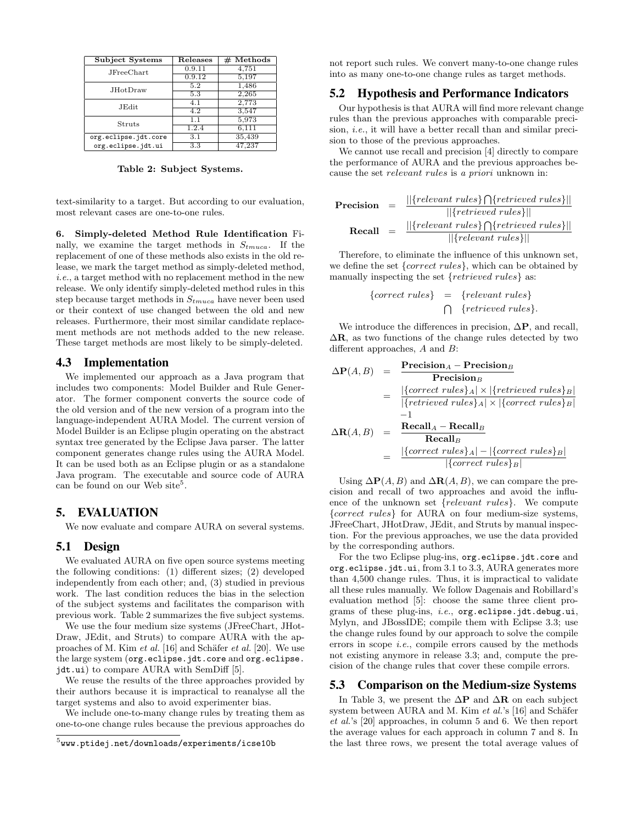| Subject Systems      | Releases         | $#$ Methods |
|----------------------|------------------|-------------|
| JFreeChart           | 0.9.11           | 4,751       |
|                      | 0.9.12           | 5,197       |
| JHotDraw             | 5.2              | 1,486       |
|                      | $5.\overline{3}$ | 2,265       |
| JEdit                | 4.1              | 2,773       |
|                      | 4.2              | 3,547       |
| Struts               | 1.1              | 5,973       |
|                      | 1.2.4            | 6.111       |
| org.eclipse.jdt.core | 3.1              | 35,439      |
| org.eclipse.jdt.ui   | 3.3              | 47.237      |

Table 2: Subject Systems.

text-similarity to a target. But according to our evaluation, most relevant cases are one-to-one rules.

6. Simply-deleted Method Rule Identification Finally, we examine the target methods in  $S_{tmuca}$ . If the replacement of one of these methods also exists in the old release, we mark the target method as simply-deleted method, i.e., a target method with no replacement method in the new release. We only identify simply-deleted method rules in this step because target methods in  $S_{tmuca}$  have never been used or their context of use changed between the old and new releases. Furthermore, their most similar candidate replacement methods are not methods added to the new release. These target methods are most likely to be simply-deleted.

## 4.3 Implementation

We implemented our approach as a Java program that includes two components: Model Builder and Rule Generator. The former component converts the source code of the old version and of the new version of a program into the language-independent AURA Model. The current version of Model Builder is an Eclipse plugin operating on the abstract syntax tree generated by the Eclipse Java parser. The latter component generates change rules using the AURA Model. It can be used both as an Eclipse plugin or as a standalone Java program. The executable and source code of AURA can be found on our Web site<sup>5</sup>.

## 5. EVALUATION

We now evaluate and compare AURA on several systems.

## 5.1 Design

We evaluated AURA on five open source systems meeting the following conditions: (1) different sizes; (2) developed independently from each other; and, (3) studied in previous work. The last condition reduces the bias in the selection of the subject systems and facilitates the comparison with previous work. Table 2 summarizes the five subject systems.

We use the four medium size systems (JFreeChart, JHot-Draw, JEdit, and Struts) to compare AURA with the approaches of M. Kim et al. [16] and Schäfer et al. [20]. We use the large system (org.eclipse.jdt.core and org.eclipse. jdt.ui) to compare AURA with SemDiff [5].

We reuse the results of the three approaches provided by their authors because it is impractical to reanalyse all the target systems and also to avoid experimenter bias.

We include one-to-many change rules by treating them as one-to-one change rules because the previous approaches do not report such rules. We convert many-to-one change rules into as many one-to-one change rules as target methods.

# 5.2 Hypothesis and Performance Indicators

Our hypothesis is that AURA will find more relevant change rules than the previous approaches with comparable precision, *i.e.*, it will have a better recall than and similar precision to those of the previous approaches.

We cannot use recall and precision [4] directly to compare the performance of AURA and the previous approaches because the set *relevant rules* is a priori unknown in:

$$
Precision = \frac{||\{relevant \ rules\} \cap \{retrieved \ rules\}||}{||\{retrieved \ rules\}||}
$$
\n
$$
Recall = \frac{||\{relevant \ rules\} \cap \{retrieved \ rules\}||}{||\{relevant \ rules\}||}
$$

Therefore, to eliminate the influence of this unknown set, we define the set  ${correct \ rules}$ , which can be obtained by manually inspecting the set {retrieved rules} as:

$$
\{correct \ rules\} = \{relevant \ rules\}
$$

$$
\bigcap \{retrieved \ rules\}.
$$

We introduce the differences in precision,  $\Delta P$ , and recall,  $\Delta$ **R**, as two functions of the change rules detected by two different approaches,  $A$  and  $B$ :

$$
\Delta P(A, B) = \frac{\text{Precision}_A - \text{Precision}_B}{\text{Precision}_B}
$$
\n
$$
= \frac{|\{correct \text{ rules}\}_A| \times |\{retrieved \text{ rules}\}_B|}{|\{retrieved \text{ rules}\}_A| \times |\{correct \text{ rules}\}_B|}
$$
\n
$$
\Delta R(A, B) = \frac{\text{Recall}_A - \text{Recall}_B}{\text{Recall}_B}
$$
\n
$$
= \frac{|\{correct \text{ rules}\}_A| - |\{correct \text{ rules}\}_B|}{|\{correct \text{ rules}\}_B|}
$$

Using  $\Delta P(A, B)$  and  $\Delta R(A, B)$ , we can compare the precision and recall of two approaches and avoid the influence of the unknown set  $\{relevant \ rules\}$ . We compute {correct rules} for AURA on four medium-size systems, JFreeChart, JHotDraw, JEdit, and Struts by manual inspection. For the previous approaches, we use the data provided by the corresponding authors.

For the two Eclipse plug-ins, org.eclipse.jdt.core and org.eclipse.jdt.ui, from 3.1 to 3.3, AURA generates more than 4,500 change rules. Thus, it is impractical to validate all these rules manually. We follow Dagenais and Robillard's evaluation method [5]: choose the same three client programs of these plug-ins, i.e., org.eclipse.jdt.debug.ui, Mylyn, and JBossIDE; compile them with Eclipse 3.3; use the change rules found by our approach to solve the compile errors in scope i.e., compile errors caused by the methods not existing anymore in release 3.3; and, compute the precision of the change rules that cover these compile errors.

## 5.3 Comparison on the Medium-size Systems

In Table 3, we present the  $\Delta P$  and  $\Delta R$  on each subject system between AURA and M. Kim  $et$  al.'s [16] and Schäfer et al.'s [20] approaches, in column 5 and 6. We then report the average values for each approach in column 7 and 8. In the last three rows, we present the total average values of

 $^5$ www.ptidej.net/downloads/experiments/icse10b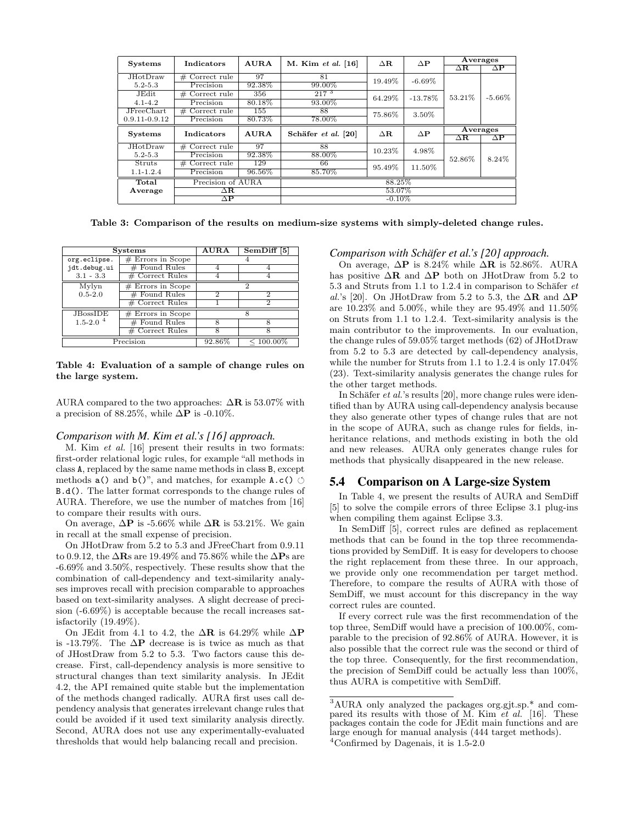| <b>Systems</b>    | Indicators          | AURA   | M. Kim et al. [16]  | $\Delta \mathbf{R}$ | $\Delta P$ | Averages         |                     |  |
|-------------------|---------------------|--------|---------------------|---------------------|------------|------------------|---------------------|--|
|                   |                     |        |                     |                     |            | $\Delta {\bf R}$ | $\Delta \mathbf{P}$ |  |
| <b>JHotDraw</b>   | Correct rule<br>#   | 97     | 81                  | 19.49%              | $-6.69\%$  |                  |                     |  |
| $5.2 - 5.3$       | Precision           | 92.38% | 99.00%              |                     |            | 53.21%           | $-5.66\%$           |  |
| JEdit             | Correct rule<br>#   | 356    | 217 <sup>3</sup>    | 64.29%              | $-13.78\%$ |                  |                     |  |
| $4.1 - 4.2$       | Precision           | 80.18% | 93.00%              |                     |            |                  |                     |  |
| JFreeChart        | $#$ Correct rule    | 155    | 88                  | 75.86%              | 3.50%      |                  |                     |  |
| $0.9.11 - 0.9.12$ | Precision           | 80.73% | 78.00%              |                     |            |                  |                     |  |
| <b>Systems</b>    | Indicators          | AURA   | Schäfer et al. [20] | $\Delta {\bf R}$    | $\Delta P$ | Averages         |                     |  |
|                   |                     |        |                     |                     |            | $\Delta {\bf R}$ | $\Delta \mathbf{P}$ |  |
| JHotDraw          | $#$ Correct rule    | 97     | 88                  | 10.23%              | 4.98%      | 52.86%           | 8.24%               |  |
| $5.2 - 5.3$       | Precision           | 92.38% | 88.00%              |                     |            |                  |                     |  |
| Struts            | $#$ Correct rule    | 129    | 66                  | 95.49%              | 11.50%     |                  |                     |  |
| $1.1 - 1.2.4$     | Precision           | 96.56% | 85.70%              |                     |            |                  |                     |  |
| Total             | Precision of AURA   |        | 88.25%              |                     |            |                  |                     |  |
| Average           | $\Delta {\bf R}$    |        | 53.07%              |                     |            |                  |                     |  |
|                   | $\Delta \mathbf{P}$ |        | $-0.10\%$           |                     |            |                  |                     |  |

Table 3: Comparison of the results on medium-size systems with simply-deleted change rules.

|               | <b>Systems</b>      | <b>AURA</b> | SemDiff $[5]$ |  |  |  |
|---------------|---------------------|-------------|---------------|--|--|--|
| org.eclipse.  | $#$ Errors in Scope |             |               |  |  |  |
| jdt.debug.ui  | $#$ Found Rules     |             |               |  |  |  |
| $3.1 - 3.3$   | $#$ Correct Rules   |             |               |  |  |  |
| Mylyn         | $#$ Errors in Scope |             | 2             |  |  |  |
| $0.5 - 2.0$   | $#$ Found Rules     |             | 2             |  |  |  |
|               | $#$ Correct Rules   |             | 2             |  |  |  |
| JBossIDE      | $#$ Errors in Scope |             |               |  |  |  |
| $1.5 - 2.0^4$ | $#$ Found Rules     | 8           | 8             |  |  |  |
|               | $#$ Correct Rules   | 8           |               |  |  |  |
|               | Precision           | 92.86%      | $< 100.00\%$  |  |  |  |

#### Table 4: Evaluation of a sample of change rules on the large system.

AURA compared to the two approaches:  $\Delta \mathbf{R}$  is 53.07% with a precision of 88.25%, while  $\Delta P$  is -0.10%.

#### *Comparison with M. Kim et al.'s [16] approach.*

M. Kim et al. [16] present their results in two formats: first-order relational logic rules, for example "all methods in class A, replaced by the same name methods in class B, except methods  $a()$  and  $b()$ ", and matches, for example  $A.c()$ B.d(). The latter format corresponds to the change rules of AURA. Therefore, we use the number of matches from [16] to compare their results with ours.

On average,  $\Delta P$  is -5.66% while  $\Delta R$  is 53.21%. We gain in recall at the small expense of precision.

On JHotDraw from 5.2 to 5.3 and JFreeChart from 0.9.11 to 0.9.12, the  $\Delta$ **R**s are 19.49% and 75.86% while the  $\Delta$ **P**s are -6.69% and 3.50%, respectively. These results show that the combination of call-dependency and text-similarity analyses improves recall with precision comparable to approaches based on text-similarity analyses. A slight decrease of precision (-6.69%) is acceptable because the recall increases satisfactorily (19.49%).

On JEdit from 4.1 to 4.2, the  $\Delta \mathbf{R}$  is 64.29% while  $\Delta \mathbf{P}$ is -13.79%. The  $\Delta P$  decrease is is twice as much as that of JHostDraw from 5.2 to 5.3. Two factors cause this decrease. First, call-dependency analysis is more sensitive to structural changes than text similarity analysis. In JEdit 4.2, the API remained quite stable but the implementation of the methods changed radically. AURA first uses call dependency analysis that generates irrelevant change rules that could be avoided if it used text similarity analysis directly. Second, AURA does not use any experimentally-evaluated thresholds that would help balancing recall and precision.

#### *Comparison with Schäfer et al.'s [20] approach.*

On average,  $\Delta P$  is 8.24% while  $\Delta R$  is 52.86%. AURA has positive  $\Delta \mathbf{R}$  and  $\Delta \mathbf{P}$  both on JHotDraw from 5.2 to 5.3 and Struts from 1.1 to 1.2.4 in comparison to Schäfer  $et$ al.'s [20]. On JHotDraw from 5.2 to 5.3, the  $\Delta \mathbf{R}$  and  $\Delta \mathbf{P}$ are 10.23% and 5.00%, while they are 95.49% and 11.50% on Struts from 1.1 to 1.2.4. Text-similarity analysis is the main contributor to the improvements. In our evaluation, the change rules of 59.05% target methods (62) of JHotDraw from 5.2 to 5.3 are detected by call-dependency analysis, while the number for Struts from 1.1 to 1.2.4 is only 17.04% (23). Text-similarity analysis generates the change rules for the other target methods.

In Schäfer et al.'s results  $[20]$ , more change rules were identified than by AURA using call-dependency analysis because they also generate other types of change rules that are not in the scope of AURA, such as change rules for fields, inheritance relations, and methods existing in both the old and new releases. AURA only generates change rules for methods that physically disappeared in the new release.

#### 5.4 Comparison on A Large-size System

In Table 4, we present the results of AURA and SemDiff [5] to solve the compile errors of three Eclipse 3.1 plug-ins when compiling them against Eclipse 3.3.

In SemDiff [5], correct rules are defined as replacement methods that can be found in the top three recommendations provided by SemDiff. It is easy for developers to choose the right replacement from these three. In our approach, we provide only one recommendation per target method. Therefore, to compare the results of AURA with those of SemDiff, we must account for this discrepancy in the way correct rules are counted.

If every correct rule was the first recommendation of the top three, SemDiff would have a precision of 100.00%, comparable to the precision of 92.86% of AURA. However, it is also possible that the correct rule was the second or third of the top three. Consequently, for the first recommendation, the precision of SemDiff could be actually less than 100%, thus AURA is competitive with SemDiff.

<sup>3</sup>AURA only analyzed the packages org.gjt.sp.\* and compared its results with those of M. Kim  $et \ al.$  [16]. These packages contain the code for JEdit main functions and are large enough for manual analysis (444 target methods).

<sup>&</sup>lt;sup>4</sup>Confirmed by Dagenais, it is  $1.5-2.0$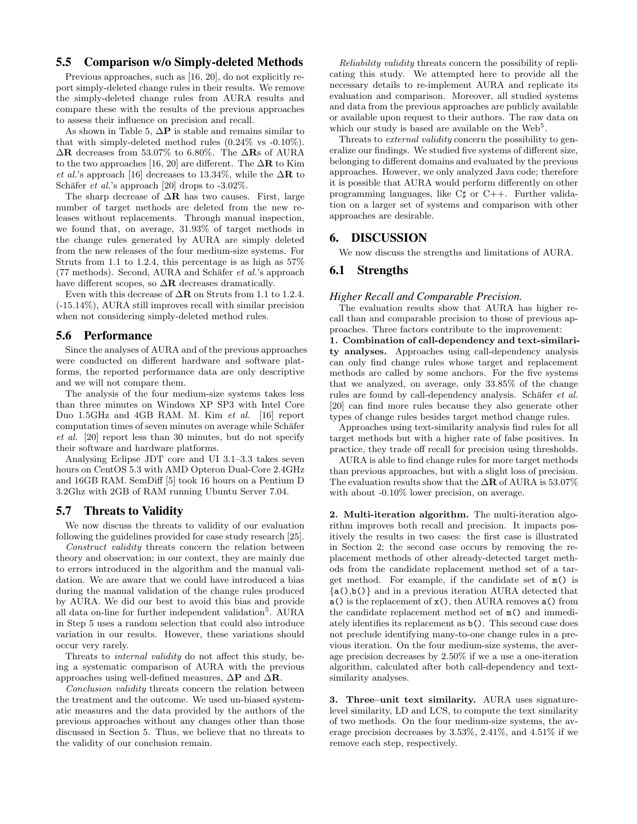# 5.5 Comparison w/o Simply-deleted Methods

Previous approaches, such as [16, 20], do not explicitly report simply-deleted change rules in their results. We remove the simply-deleted change rules from AURA results and compare these with the results of the previous approaches to assess their influence on precision and recall.

As shown in Table 5,  $\Delta P$  is stable and remains similar to that with simply-deleted method rules (0.24% vs -0.10%).  $\Delta \mathbf{R}$  decreases from 53.07% to 6.80%. The  $\Delta \mathbf{R}$  of AURA to the two approaches [16, 20] are different. The  $\Delta \mathbf{R}$  to Kim *et al.*'s approach [16] decreases to 13.34\%, while the  $\Delta \mathbf{R}$  to Schäfer *et al.*'s approach [20] drops to  $-3.02\%$ .

The sharp decrease of  $\Delta \mathbf{R}$  has two causes. First, large number of target methods are deleted from the new releases without replacements. Through manual inspection, we found that, on average, 31.93% of target methods in the change rules generated by AURA are simply deleted from the new releases of the four medium-size systems. For Struts from 1.1 to 1.2.4, this percentage is as high as 57% (77 methods). Second, AURA and Schäfer et al.'s approach have different scopes, so  $\Delta \mathbf{R}$  decreases dramatically.

Even with this decrease of  $\Delta \mathbf{R}$  on Struts from 1.1 to 1.2.4. (-15.14%), AURA still improves recall with similar precision when not considering simply-deleted method rules.

## 5.6 Performance

Since the analyses of AURA and of the previous approaches were conducted on different hardware and software platforms, the reported performance data are only descriptive and we will not compare them.

The analysis of the four medium-size systems takes less than three minutes on Windows XP SP3 with Intel Core Duo 1.5GHz and 4GB RAM. M. Kim et al. [16] report computation times of seven minutes on average while Schäfer et al. [20] report less than 30 minutes, but do not specify their software and hardware platforms.

Analysing Eclipse JDT core and UI 3.1–3.3 takes seven hours on CentOS 5.3 with AMD Opteron Dual-Core 2.4GHz and 16GB RAM. SemDiff [5] took 16 hours on a Pentium D 3.2Ghz with 2GB of RAM running Ubuntu Server 7.04.

## 5.7 Threats to Validity

We now discuss the threats to validity of our evaluation following the guidelines provided for case study research [25].

Construct validity threats concern the relation between theory and observation; in our context, they are mainly due to errors introduced in the algorithm and the manual validation. We are aware that we could have introduced a bias during the manual validation of the change rules produced by AURA. We did our best to avoid this bias and provide all data on-line for further independent validation<sup>5</sup>. AURA in Step 5 uses a random selection that could also introduce variation in our results. However, these variations should occur very rarely.

Threats to internal validity do not affect this study, being a systematic comparison of AURA with the previous approaches using well-defined measures,  $\Delta P$  and  $\Delta R$ .

Conclusion validity threats concern the relation between the treatment and the outcome. We used un-biased systematic measures and the data provided by the authors of the previous approaches without any changes other than those discussed in Section 5. Thus, we believe that no threats to the validity of our conclusion remain.

Reliability validity threats concern the possibility of replicating this study. We attempted here to provide all the necessary details to re-implement AURA and replicate its evaluation and comparison. Moreover, all studied systems and data from the previous approaches are publicly available or available upon request to their authors. The raw data on which our study is based are available on the  $Web<sup>5</sup>$ .

Threats to *external validity* concern the possibility to generalize our findings. We studied five systems of different size, belonging to different domains and evaluated by the previous approaches. However, we only analyzed Java code; therefore it is possible that AURA would perform differently on other programming languages, like C♯ or C++. Further validation on a larger set of systems and comparison with other approaches are desirable.

## 6. DISCUSSION

We now discuss the strengths and limitations of AURA.

## 6.1 Strengths

## *Higher Recall and Comparable Precision.*

The evaluation results show that AURA has higher recall than and comparable precision to those of previous approaches. Three factors contribute to the improvement:

1. Combination of call-dependency and text-similarity analyses. Approaches using call-dependency analysis can only find change rules whose target and replacement methods are called by some anchors. For the five systems that we analyzed, on average, only 33.85% of the change rules are found by call-dependency analysis. Schäfer et al. [20] can find more rules because they also generate other types of change rules besides target method change rules.

Approaches using text-similarity analysis find rules for all target methods but with a higher rate of false positives. In practice, they trade off recall for precision using thresholds.

AURA is able to find change rules for more target methods than previous approaches, but with a slight loss of precision. The evaluation results show that the  $\Delta \mathbf{R}$  of AURA is 53.07% with about -0.10% lower precision, on average.

2. Multi-iteration algorithm. The multi-iteration algorithm improves both recall and precision. It impacts positively the results in two cases: the first case is illustrated in Section 2; the second case occurs by removing the replacement methods of other already-detected target methods from the candidate replacement method set of a target method. For example, if the candidate set of m() is  ${a(.), b()}$  and in a previous iteration AURA detected that  $a()$  is the replacement of  $x()$ , then AURA removes  $a()$  from the candidate replacement method set of m() and immediately identifies its replacement as b(). This second case does not preclude identifying many-to-one change rules in a previous iteration. On the four medium-size systems, the average precision decreases by 2.50% if we a use a one-iteration algorithm, calculated after both call-dependency and textsimilarity analyses.

3. Three–unit text similarity. AURA uses signaturelevel similarity, LD and LCS, to compute the text similarity of two methods. On the four medium-size systems, the average precision decreases by 3.53%, 2.41%, and 4.51% if we remove each step, respectively.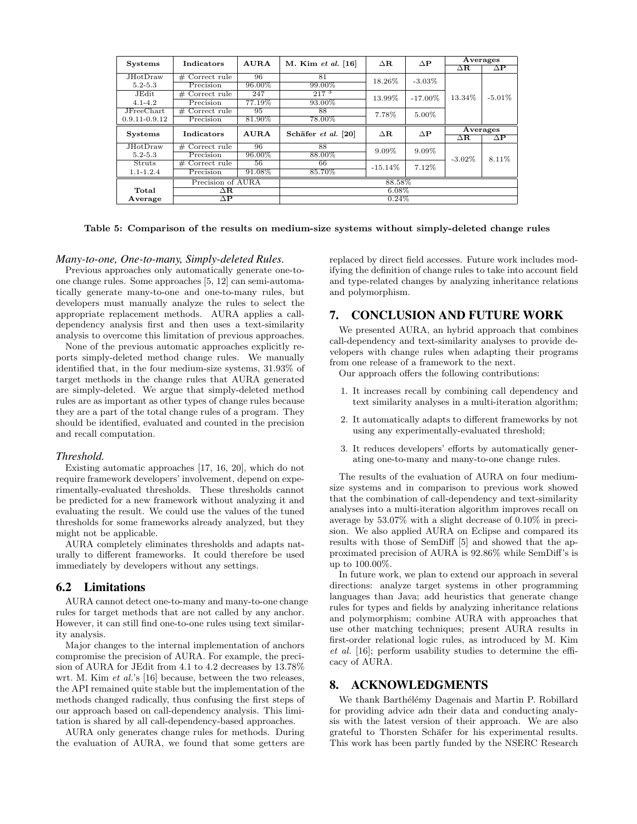| <b>Systems</b>            | Indicators                     | <b>AURA</b> | M. Kim et al. [16]  | $\Delta \mathbf{R}$ | $\Delta P$ | Averages         |                     |  |
|---------------------------|--------------------------------|-------------|---------------------|---------------------|------------|------------------|---------------------|--|
|                           |                                |             |                     |                     |            | $\Delta{\bf R}$  | $\Delta \mathbf{P}$ |  |
| <b>JHotDraw</b>           | $#$ Correct rule               | 96          | 81                  | 18.26%              | $-3.03\%$  |                  |                     |  |
| $5.2 - 5.3$               | Precision                      | 96.00%      | 99.00%              |                     |            | 13.34%           | $-5.01\%$           |  |
| JEdit                     | Correct rule<br>#              | 247         | 217 <sup>3</sup>    | 13.99%              | $-17.00\%$ |                  |                     |  |
| $4.1 - 4.2$               | Precision                      | 77.19%      | 93.00%              |                     |            |                  |                     |  |
| <b>JFreeChart</b>         | Correct rule<br>#              | 95          | 88                  | 7.78%               | 5.00%      |                  |                     |  |
| $0.9.11 - 0.9.12$         | Precision                      | 81.90%      | 78.00%              |                     |            |                  |                     |  |
| <b>Systems</b>            | Indicators                     | AURA        | Schäfer et al. [20] | $\Delta \mathbf{R}$ | $\Delta P$ | Averages         |                     |  |
|                           |                                |             |                     |                     |            | $\Delta {\bf R}$ | $\Delta \mathbf{P}$ |  |
| JHotDraw                  | $\#$ Correct rule              | 96          | 88                  | $9.09\%$            | $9.09\%$   | $-3.02\%$        | 8.11\%              |  |
| $5.2 - 5.3$               | Precision                      | 96.00%      | 88.00%              |                     |            |                  |                     |  |
| Struts                    | $#$ Correct rule               | 56          | 66                  | $-15.14\%$          | 7.12%      |                  |                     |  |
| $1.1 - 1.2.4$             | Precision                      | 91.08%      | 85.70%              |                     |            |                  |                     |  |
| Precision of AURA         |                                | 88.58%      |                     |                     |            |                  |                     |  |
| Total<br>$\Delta {\bf R}$ |                                |             | $6.08\%$            |                     |            |                  |                     |  |
| Average                   | $\overline{\Delta \mathbf{P}}$ |             | $0.24\%$            |                     |            |                  |                     |  |

Table 5: Comparison of the results on medium-size systems without simply-deleted change rules

#### *Many-to-one, One-to-many, Simply-deleted Rules.*

Previous approaches only automatically generate one-toone change rules. Some approaches [5, 12] can semi-automatically generate many-to-one and one-to-many rules, but developers must manually analyze the rules to select the appropriate replacement methods. AURA applies a calldependency analysis first and then uses a text-similarity analysis to overcome this limitation of previous approaches.

None of the previous automatic approaches explicitly reports simply-deleted method change rules. We manually identified that, in the four medium-size systems, 31.93% of target methods in the change rules that AURA generated are simply-deleted. We argue that simply-deleted method rules are as important as other types of change rules because they are a part of the total change rules of a program. They should be identified, evaluated and counted in the precision and recall computation.

#### *Threshold.*

Existing automatic approaches [17, 16, 20], which do not require framework developers' involvement, depend on experimentally-evaluated thresholds. These thresholds cannot be predicted for a new framework without analyzing it and evaluating the result. We could use the values of the tuned thresholds for some frameworks already analyzed, but they might not be applicable.

AURA completely eliminates thresholds and adapts naturally to different frameworks. It could therefore be used immediately by developers without any settings.

#### 6.2 Limitations

AURA cannot detect one-to-many and many-to-one change rules for target methods that are not called by any anchor. However, it can still find one-to-one rules using text similarity analysis.

Major changes to the internal implementation of anchors compromise the precision of AURA. For example, the precision of AURA for JEdit from 4.1 to 4.2 decreases by 13.78% wrt. M. Kim et al.'s [16] because, between the two releases, the API remained quite stable but the implementation of the methods changed radically, thus confusing the first steps of our approach based on call-dependency analysis. This limitation is shared by all call-dependency-based approaches.

AURA only generates change rules for methods. During the evaluation of AURA, we found that some getters are replaced by direct field accesses. Future work includes modifying the definition of change rules to take into account field and type-related changes by analyzing inheritance relations and polymorphism.

# 7. CONCLUSION AND FUTURE WORK

We presented AURA, an hybrid approach that combines call-dependency and text-similarity analyses to provide developers with change rules when adapting their programs from one release of a framework to the next.

Our approach offers the following contributions:

- 1. It increases recall by combining call dependency and text similarity analyses in a multi-iteration algorithm;
- 2. It automatically adapts to different frameworks by not using any experimentally-evaluated threshold;
- 3. It reduces developers' efforts by automatically generating one-to-many and many-to-one change rules.

The results of the evaluation of AURA on four mediumsize systems and in comparison to previous work showed that the combination of call-dependency and text-similarity analyses into a multi-iteration algorithm improves recall on average by 53.07% with a slight decrease of 0.10% in precision. We also applied AURA on Eclipse and compared its results with those of SemDiff [5] and showed that the approximated precision of AURA is 92.86% while SemDiff's is up to 100.00%.

In future work, we plan to extend our approach in several directions: analyze target systems in other programming languages than Java; add heuristics that generate change rules for types and fields by analyzing inheritance relations and polymorphism; combine AURA with approaches that use other matching techniques; present AURA results in first-order relational logic rules, as introduced by M. Kim et al. [16]; perform usability studies to determine the efficacy of AURA.

## 8. ACKNOWLEDGMENTS

We thank Barthélémy Dagenais and Martin P. Robillard for providing advice adn their data and conducting analysis with the latest version of their approach. We are also grateful to Thorsten Schäfer for his experimental results. This work has been partly funded by the NSERC Research